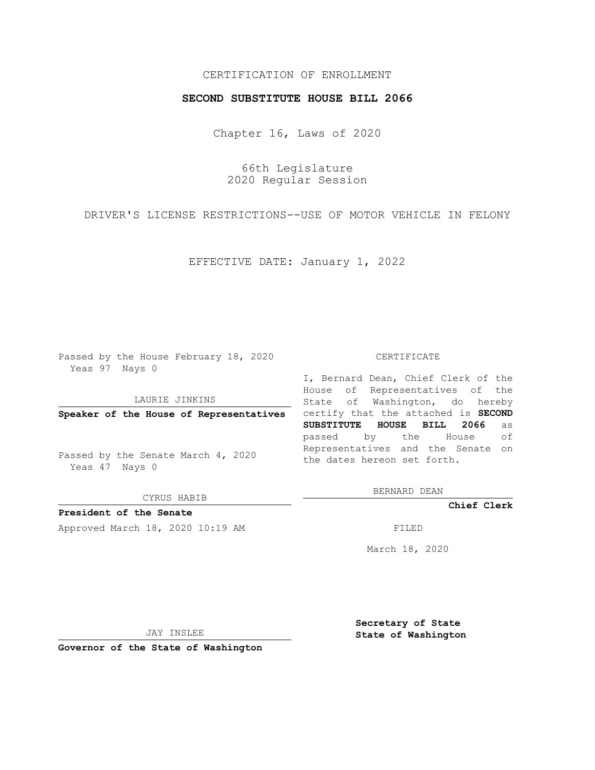## CERTIFICATION OF ENROLLMENT

## **SECOND SUBSTITUTE HOUSE BILL 2066**

Chapter 16, Laws of 2020

66th Legislature 2020 Regular Session

DRIVER'S LICENSE RESTRICTIONS--USE OF MOTOR VEHICLE IN FELONY

EFFECTIVE DATE: January 1, 2022

Passed by the House February 18, 2020 Yeas 97 Nays 0

LAURIE JINKINS

Passed by the Senate March 4, 2020 Yeas 47 Nays 0

CYRUS HABIB

**President of the Senate**

Approved March 18, 2020 10:19 AM FILED

## CERTIFICATE

**Speaker of the House of Representatives** certify that the attached is **SECOND** I, Bernard Dean, Chief Clerk of the House of Representatives of the State of Washington, do hereby **SUBSTITUTE HOUSE BILL 2066** as passed by the House of Representatives and the Senate on the dates hereon set forth.

BERNARD DEAN

**Chief Clerk**

March 18, 2020

JAY INSLEE

**Governor of the State of Washington**

**Secretary of State State of Washington**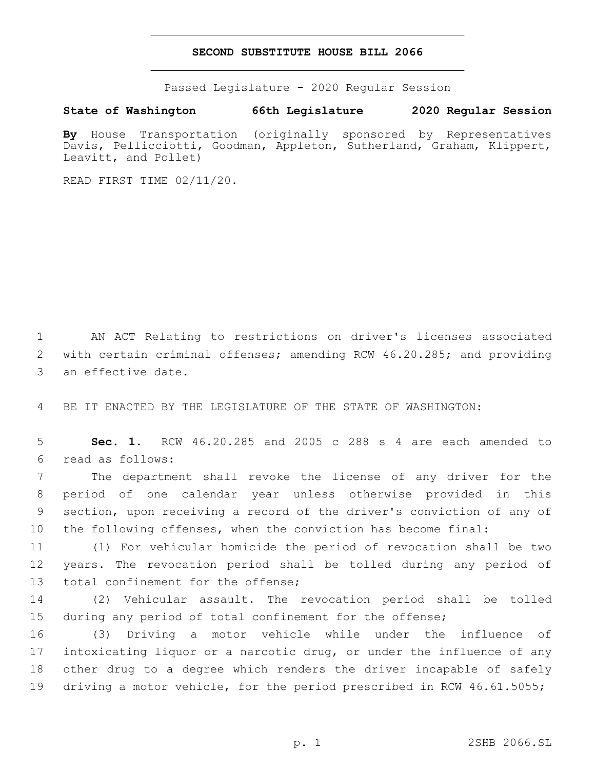## **SECOND SUBSTITUTE HOUSE BILL 2066**

Passed Legislature - 2020 Regular Session

**State of Washington 66th Legislature 2020 Regular Session**

**By** House Transportation (originally sponsored by Representatives Davis, Pellicciotti, Goodman, Appleton, Sutherland, Graham, Klippert, Leavitt, and Pollet)

READ FIRST TIME 02/11/20.

1 AN ACT Relating to restrictions on driver's licenses associated 2 with certain criminal offenses; amending RCW 46.20.285; and providing 3 an effective date.

4 BE IT ENACTED BY THE LEGISLATURE OF THE STATE OF WASHINGTON:

5 **Sec. 1.** RCW 46.20.285 and 2005 c 288 s 4 are each amended to read as follows:6

 The department shall revoke the license of any driver for the period of one calendar year unless otherwise provided in this section, upon receiving a record of the driver's conviction of any of the following offenses, when the conviction has become final:

11 (1) For vehicular homicide the period of revocation shall be two 12 years. The revocation period shall be tolled during any period of 13 total confinement for the offense;

14 (2) Vehicular assault. The revocation period shall be tolled 15 during any period of total confinement for the offense;

 (3) Driving a motor vehicle while under the influence of intoxicating liquor or a narcotic drug, or under the influence of any other drug to a degree which renders the driver incapable of safely driving a motor vehicle, for the period prescribed in RCW 46.61.5055;